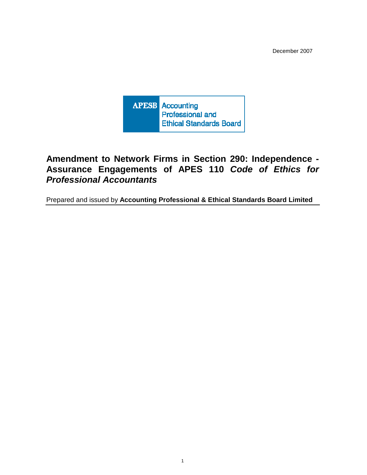December 2007



# **Amendment to Network Firms in Section 290: Independence - Assurance Engagements of APES 110 Code of Ethics for Professional Accountants**

Prepared and issued by **Accounting Professional & Ethical Standards Board Limited**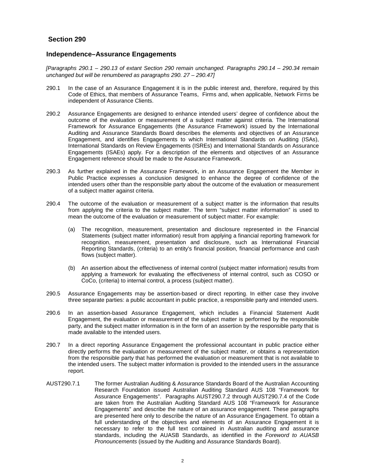## **Section 290**

## **Independence–Assurance Engagements**

[Paragraphs 290.1 – 290.13 of extant Section 290 remain unchanged. Paragraphs 290.14 – 290.34 remain unchanged but will be renumbered as paragraphs 290. 27 – 290.47]

- 290.1 In the case of an Assurance Engagement it is in the public interest and, therefore, required by this Code of Ethics, that members of Assurance Teams, Firms and, when applicable, Network Firms be independent of Assurance Clients.
- 290.2 Assurance Engagements are designed to enhance intended users' degree of confidence about the outcome of the evaluation or measurement of a subject matter against criteria. The International Framework for Assurance Engagements (the Assurance Framework) issued by the International Auditing and Assurance Standards Board describes the elements and objectives of an Assurance Engagement, and identifies Engagements to which International Standards on Auditing (ISAs), International Standards on Review Engagements (ISREs) and International Standards on Assurance Engagements (ISAEs) apply. For a description of the elements and objectives of an Assurance Engagement reference should be made to the Assurance Framework.
- 290.3 As further explained in the Assurance Framework, in an Assurance Engagement the Member in Public Practice expresses a conclusion designed to enhance the degree of confidence of the intended users other than the responsible party about the outcome of the evaluation or measurement of a subject matter against criteria.
- 290.4 The outcome of the evaluation or measurement of a subject matter is the information that results from applying the criteria to the subject matter. The term "subject matter information" is used to mean the outcome of the evaluation or measurement of subject matter. For example:
	- (a) The recognition, measurement, presentation and disclosure represented in the Financial Statements (subject matter information) result from applying a financial reporting framework for recognition, measurement, presentation and disclosure, such as International Financial Reporting Standards, (criteria) to an entity's financial position, financial performance and cash flows (subject matter).
	- (b) An assertion about the effectiveness of internal control (subject matter information) results from applying a framework for evaluating the effectiveness of internal control, such as COSO or CoCo, (criteria) to internal control, a process (subject matter).
- 290.5 Assurance Engagements may be assertion-based or direct reporting. In either case they involve three separate parties: a public accountant in public practice, a responsible party and intended users.
- 290.6 In an assertion-based Assurance Engagement, which includes a Financial Statement Audit Engagement, the evaluation or measurement of the subject matter is performed by the responsible party, and the subject matter information is in the form of an assertion by the responsible party that is made available to the intended users.
- 290.7 In a direct reporting Assurance Engagement the professional accountant in public practice either directly performs the evaluation or measurement of the subject matter, or obtains a representation from the responsible party that has performed the evaluation or measurement that is not available to the intended users. The subject matter information is provided to the intended users in the assurance report.
- AUST290.7.1 The former Australian Auditing & Assurance Standards Board of the Australian Accounting Research Foundation issued Australian Auditing Standard AUS 108 "Framework for Assurance Engagements". Paragraphs AUST290.7.2 through AUST290.7.4 of the Code are taken from the Australian Auditing Standard AUS 108 "Framework for Assurance Engagements" and describe the nature of an assurance engagement. These paragraphs are presented here only to describe the nature of an Assurance Engagement. To obtain a full understanding of the objectives and elements of an Assurance Engagement it is necessary to refer to the full text contained in Australian auditing and assurance standards, including the AUASB Standards, as identified in the Foreword to AUASB Pronouncements (issued by the Auditing and Assurance Standards Board).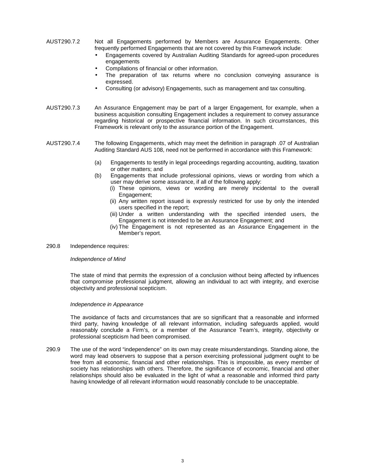- AUST290.7.2 Not all Engagements performed by Members are Assurance Engagements. Other frequently performed Engagements that are not covered by this Framework include:
	- Engagements covered by Australian Auditing Standards for agreed-upon procedures engagements
	- Compilations of financial or other information.
	- The preparation of tax returns where no conclusion conveying assurance is expressed.
	- Consulting (or advisory) Engagements, such as management and tax consulting.
- AUST290.7.3 An Assurance Engagement may be part of a larger Engagement, for example, when a business acquisition consulting Engagement includes a requirement to convey assurance regarding historical or prospective financial information. In such circumstances, this Framework is relevant only to the assurance portion of the Engagement.
- AUST290.7.4 The following Engagements, which may meet the definition in paragraph .07 of Australian Auditing Standard AUS 108, need not be performed in accordance with this Framework:
	- (a) Engagements to testify in legal proceedings regarding accounting, auditing, taxation or other matters; and
	- (b) Engagements that include professional opinions, views or wording from which a user may derive some assurance, if all of the following apply:
		- (i) These opinions, views or wording are merely incidental to the overall Engagement;
		- (ii) Any written report issued is expressly restricted for use by only the intended users specified in the report;
		- (iii) Under a written understanding with the specified intended users, the Engagement is not intended to be an Assurance Engagement; and
		- (iv) The Engagement is not represented as an Assurance Engagement in the Member's report.
- 290.8 Independence requires:

#### Independence of Mind

The state of mind that permits the expression of a conclusion without being affected by influences that compromise professional judgment, allowing an individual to act with integrity, and exercise objectivity and professional scepticism.

#### Independence in Appearance

 The avoidance of facts and circumstances that are so significant that a reasonable and informed third party, having knowledge of all relevant information, including safeguards applied, would reasonably conclude a Firm's, or a member of the Assurance Team's, integrity, objectivity or professional scepticism had been compromised.

290.9 The use of the word "independence" on its own may create misunderstandings. Standing alone, the word may lead observers to suppose that a person exercising professional judgment ought to be free from all economic, financial and other relationships. This is impossible, as every member of society has relationships with others. Therefore, the significance of economic, financial and other relationships should also be evaluated in the light of what a reasonable and informed third party having knowledge of all relevant information would reasonably conclude to be unacceptable.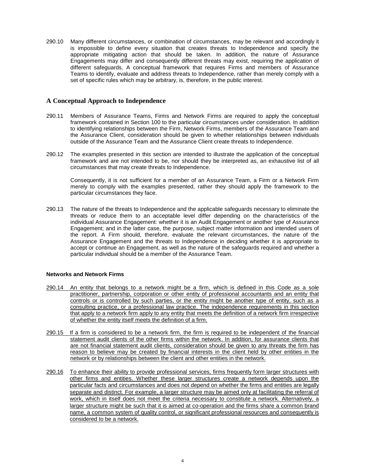290.10 Many different circumstances, or combination of circumstances, may be relevant and accordingly it is impossible to define every situation that creates threats to Independence and specify the appropriate mitigating action that should be taken. In addition, the nature of Assurance Engagements may differ and consequently different threats may exist, requiring the application of different safeguards. A conceptual framework that requires Firms and members of Assurance Teams to identify, evaluate and address threats to Independence, rather than merely comply with a set of specific rules which may be arbitrary, is, therefore, in the public interest.

## **A Conceptual Approach to Independence**

- 290.11 Members of Assurance Teams, Firms and Network Firms are required to apply the conceptual framework contained in Section 100 to the particular circumstances under consideration. In addition to identifying relationships between the Firm, Network Firms, members of the Assurance Team and the Assurance Client, consideration should be given to whether relationships between individuals outside of the Assurance Team and the Assurance Client create threats to Independence.
- 290.12 The examples presented in this section are intended to illustrate the application of the conceptual framework and are not intended to be, nor should they be interpreted as, an exhaustive list of all circumstances that may create threats to Independence.

 Consequently, it is not sufficient for a member of an Assurance Team, a Firm or a Network Firm merely to comply with the examples presented, rather they should apply the framework to the particular circumstances they face.

290.13 The nature of the threats to Independence and the applicable safeguards necessary to eliminate the threats or reduce them to an acceptable level differ depending on the characteristics of the individual Assurance Engagement: whether it is an Audit Engagement or another type of Assurance Engagement; and in the latter case, the purpose, subject matter information and intended users of the report. A Firm should, therefore, evaluate the relevant circumstances, the nature of the Assurance Engagement and the threats to Independence in deciding whether it is appropriate to accept or continue an Engagement, as well as the nature of the safeguards required and whether a particular individual should be a member of the Assurance Team.

#### **Networks and Network Firms**

- 290.14 An entity that belongs to a network might be a firm, which is defined in this Code as a sole practitioner, partnership, corporation or other entity of professional accountants and an entity that controls or is controlled by such parties, or the entity might be another type of entity, such as a consulting practice, or a professional law practice. The independence requirements in this section that apply to a network firm apply to any entity that meets the definition of a network firm irrespective of whether the entity itself meets the definition of a firm.
- 290.15 If a firm is considered to be a network firm, the firm is required to be independent of the financial statement audit clients of the other firms within the network. In addition, for assurance clients that are not financial statement audit clients, consideration should be given to any threats the firm has reason to believe may be created by financial interests in the client held by other entities in the network or by relationships between the client and other entities in the network.
- 290.16 To enhance their ability to provide professional services, firms frequently form larger structures with other firms and entities. Whether these larger structures create a network depends upon the particular facts and circumstances and does not depend on whether the firms and entities are legally separate and distinct. For example, a larger structure may be aimed only at facilitating the referral of work, which in itself does not meet the criteria necessary to constitute a network. Alternatively, a larger structure might be such that it is aimed at co-operation and the firms share a common brand name, a common system of quality control, or significant professional resources and consequently is considered to be a network.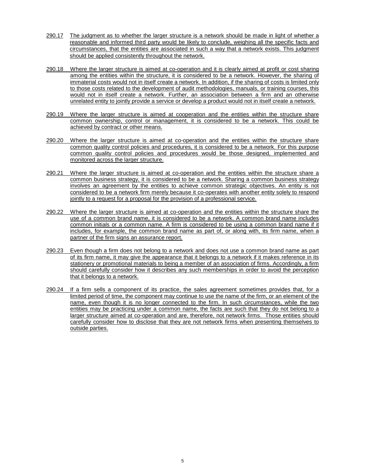- 290.17 The judgment as to whether the larger structure is a network should be made in light of whether a reasonable and informed third party would be likely to conclude, weighing all the specific facts and circumstances, that the entities are associated in such a way that a network exists. This judgment should be applied consistently throughout the network.
- 290.18 Where the larger structure is aimed at co-operation and it is clearly aimed at profit or cost sharing among the entities within the structure, it is considered to be a network. However, the sharing of immaterial costs would not in itself create a network. In addition, if the sharing of costs is limited only to those costs related to the development of audit methodologies, manuals, or training courses, this would not in itself create a network. Further, an association between a firm and an otherwise unrelated entity to jointly provide a service or develop a product would not in itself create a network.
- 290.19 Where the larger structure is aimed at cooperation and the entities within the structure share common ownership, control or management, it is considered to be a network. This could be achieved by contract or other means.
- 290.20 Where the larger structure is aimed at co-operation and the entities within the structure share common quality control policies and procedures, it is considered to be a network. For this purpose common quality control policies and procedures would be those designed, implemented and monitored across the larger structure.
- 290.21 Where the larger structure is aimed at co-operation and the entities within the structure share a common business strategy, it is considered to be a network. Sharing a common business strategy involves an agreement by the entities to achieve common strategic objectives. An entity is not considered to be a network firm merely because it co-operates with another entity solely to respond jointly to a request for a proposal for the provision of a professional service.
- 290.22 Where the larger structure is aimed at co-operation and the entities within the structure share the use of a common brand name, it is considered to be a network. A common brand name includes common initials or a common name. A firm is considered to be using a common brand name if it includes, for example, the common brand name as part of, or along with, its firm name, when a partner of the firm signs an assurance report.
- 290.23 Even though a firm does not belong to a network and does not use a common brand name as part of its firm name, it may give the appearance that it belongs to a network if it makes reference in its stationery or promotional materials to being a member of an association of firms. Accordingly, a firm should carefully consider how it describes any such memberships in order to avoid the perception that it belongs to a network.
- 290.24 If a firm sells a component of its practice, the sales agreement sometimes provides that, for a limited period of time, the component may continue to use the name of the firm, or an element of the name, even though it is no longer connected to the firm. In such circumstances, while the two entities may be practicing under a common name, the facts are such that they do not belong to a larger structure aimed at co-operation and are, therefore, not network firms. Those entities should carefully consider how to disclose that they are not network firms when presenting themselves to outside parties.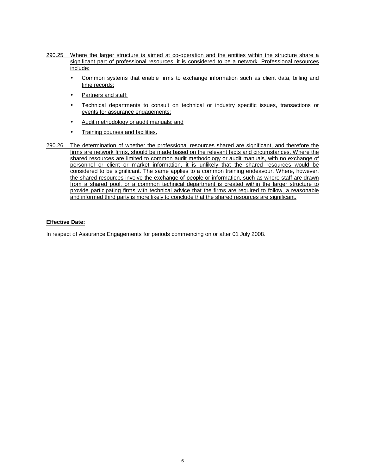- 290.25 Where the larger structure is aimed at co-operation and the entities within the structure share a significant part of professional resources, it is considered to be a network. Professional resources include:
	- Common systems that enable firms to exchange information such as client data, billing and time records;
	- Partners and staff;
	- Technical departments to consult on technical or industry specific issues, transactions or events for assurance engagements;
	- Audit methodology or audit manuals; and
	- Training courses and facilities.
- 290.26 The determination of whether the professional resources shared are significant, and therefore the firms are network firms, should be made based on the relevant facts and circumstances. Where the shared resources are limited to common audit methodology or audit manuals, with no exchange of personnel or client or market information, it is unlikely that the shared resources would be considered to be significant. The same applies to a common training endeavour. Where, however, the shared resources involve the exchange of people or information, such as where staff are drawn from a shared pool, or a common technical department is created within the larger structure to provide participating firms with technical advice that the firms are required to follow, a reasonable and informed third party is more likely to conclude that the shared resources are significant.

#### **Effective Date:**

In respect of Assurance Engagements for periods commencing on or after 01 July 2008.